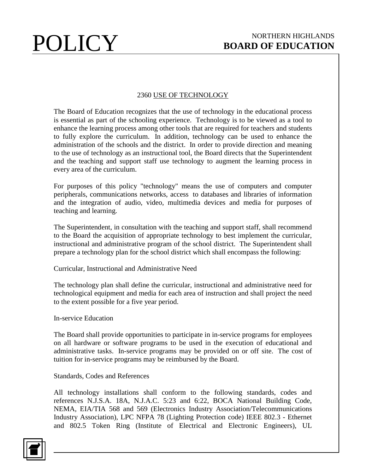# 2360 USE OF TECHNOLOGY

The Board of Education recognizes that the use of technology in the educational process is essential as part of the schooling experience. Technology is to be viewed as a tool to enhance the learning process among other tools that are required for teachers and students to fully explore the curriculum. In addition, technology can be used to enhance the administration of the schools and the district. In order to provide direction and meaning to the use of technology as an instructional tool, the Board directs that the Superintendent and the teaching and support staff use technology to augment the learning process in every area of the curriculum.

For purposes of this policy "technology" means the use of computers and computer peripherals, communications networks, access to databases and libraries of information and the integration of audio, video, multimedia devices and media for purposes of teaching and learning.

The Superintendent, in consultation with the teaching and support staff, shall recommend to the Board the acquisition of appropriate technology to best implement the curricular, instructional and administrative program of the school district. The Superintendent shall prepare a technology plan for the school district which shall encompass the following:

Curricular, Instructional and Administrative Need

The technology plan shall define the curricular, instructional and administrative need for technological equipment and media for each area of instruction and shall project the need to the extent possible for a five year period.

# In-service Education

The Board shall provide opportunities to participate in in-service programs for employees on all hardware or software programs to be used in the execution of educational and administrative tasks. In-service programs may be provided on or off site. The cost of tuition for in-service programs may be reimbursed by the Board.

# Standards, Codes and References

All technology installations shall conform to the following standards, codes and references N.J.S.A. 18A, N.J.A.C. 5:23 and 6:22, BOCA National Building Code, NEMA, EIA/TIA 568 and 569 (Electronics Industry Association/Telecommunications Industry Association), LPC NFPA 78 (Lighting Protection code) IEEE 802.3 - Ethernet and 802.5 Token Ring (Institute of Electrical and Electronic Engineers), UL

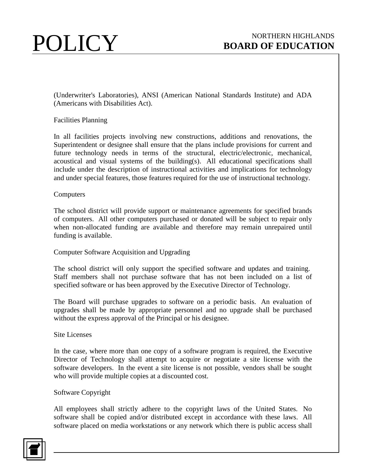(Underwriter's Laboratories), ANSI (American National Standards Institute) and ADA (Americans with Disabilities Act).

# Facilities Planning

In all facilities projects involving new constructions, additions and renovations, the Superintendent or designee shall ensure that the plans include provisions for current and future technology needs in terms of the structural, electric/electronic, mechanical, acoustical and visual systems of the building(s). All educational specifications shall include under the description of instructional activities and implications for technology and under special features, those features required for the use of instructional technology.

# **Computers**

The school district will provide support or maintenance agreements for specified brands of computers. All other computers purchased or donated will be subject to repair only when non-allocated funding are available and therefore may remain unrepaired until funding is available.

# Computer Software Acquisition and Upgrading

The school district will only support the specified software and updates and training. Staff members shall not purchase software that has not been included on a list of specified software or has been approved by the Executive Director of Technology.

The Board will purchase upgrades to software on a periodic basis. An evaluation of upgrades shall be made by appropriate personnel and no upgrade shall be purchased without the express approval of the Principal or his designee.

#### Site Licenses

In the case, where more than one copy of a software program is required, the Executive Director of Technology shall attempt to acquire or negotiate a site license with the software developers. In the event a site license is not possible, vendors shall be sought who will provide multiple copies at a discounted cost.

#### Software Copyright

All employees shall strictly adhere to the copyright laws of the United States. No software shall be copied and/or distributed except in accordance with these laws. All software placed on media workstations or any network which there is public access shall

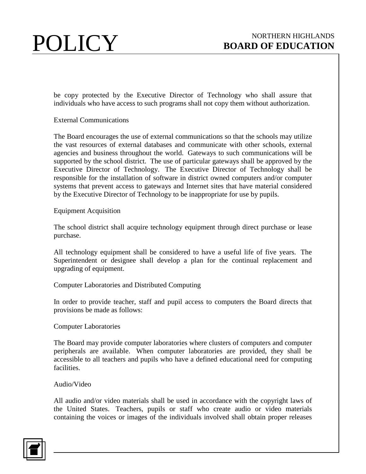be copy protected by the Executive Director of Technology who shall assure that individuals who have access to such programs shall not copy them without authorization.

# External Communications

The Board encourages the use of external communications so that the schools may utilize the vast resources of external databases and communicate with other schools, external agencies and business throughout the world. Gateways to such communications will be supported by the school district. The use of particular gateways shall be approved by the Executive Director of Technology. The Executive Director of Technology shall be responsible for the installation of software in district owned computers and/or computer systems that prevent access to gateways and Internet sites that have material considered by the Executive Director of Technology to be inappropriate for use by pupils.

#### Equipment Acquisition

The school district shall acquire technology equipment through direct purchase or lease purchase.

All technology equipment shall be considered to have a useful life of five years. The Superintendent or designee shall develop a plan for the continual replacement and upgrading of equipment.

# Computer Laboratories and Distributed Computing

In order to provide teacher, staff and pupil access to computers the Board directs that provisions be made as follows:

#### Computer Laboratories

The Board may provide computer laboratories where clusters of computers and computer peripherals are available. When computer laboratories are provided, they shall be accessible to all teachers and pupils who have a defined educational need for computing facilities.

#### Audio/Video

All audio and/or video materials shall be used in accordance with the copyright laws of the United States. Teachers, pupils or staff who create audio or video materials containing the voices or images of the individuals involved shall obtain proper releases

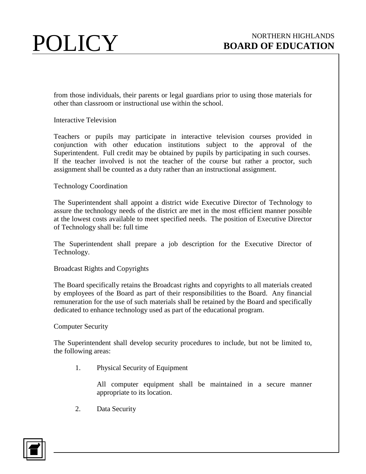from those individuals, their parents or legal guardians prior to using those materials for other than classroom or instructional use within the school.

# Interactive Television

Teachers or pupils may participate in interactive television courses provided in conjunction with other education institutions subject to the approval of the Superintendent. Full credit may be obtained by pupils by participating in such courses. If the teacher involved is not the teacher of the course but rather a proctor, such assignment shall be counted as a duty rather than an instructional assignment.

# Technology Coordination

The Superintendent shall appoint a district wide Executive Director of Technology to assure the technology needs of the district are met in the most efficient manner possible at the lowest costs available to meet specified needs. The position of Executive Director of Technology shall be: full time

The Superintendent shall prepare a job description for the Executive Director of Technology.

# Broadcast Rights and Copyrights

The Board specifically retains the Broadcast rights and copyrights to all materials created by employees of the Board as part of their responsibilities to the Board. Any financial remuneration for the use of such materials shall be retained by the Board and specifically dedicated to enhance technology used as part of the educational program.

# Computer Security

The Superintendent shall develop security procedures to include, but not be limited to, the following areas:

1. Physical Security of Equipment

All computer equipment shall be maintained in a secure manner appropriate to its location.

2. Data Security

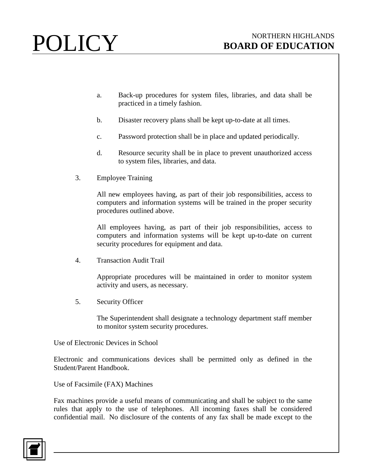- a. Back-up procedures for system files, libraries, and data shall be practiced in a timely fashion.
- b. Disaster recovery plans shall be kept up-to-date at all times.
- c. Password protection shall be in place and updated periodically.
- d. Resource security shall be in place to prevent unauthorized access to system files, libraries, and data.
- 3. Employee Training

All new employees having, as part of their job responsibilities, access to computers and information systems will be trained in the proper security procedures outlined above.

All employees having, as part of their job responsibilities, access to computers and information systems will be kept up-to-date on current security procedures for equipment and data.

4. Transaction Audit Trail

Appropriate procedures will be maintained in order to monitor system activity and users, as necessary.

5. Security Officer

The Superintendent shall designate a technology department staff member to monitor system security procedures.

Use of Electronic Devices in School

Electronic and communications devices shall be permitted only as defined in the Student/Parent Handbook.

Use of Facsimile (FAX) Machines

Fax machines provide a useful means of communicating and shall be subject to the same rules that apply to the use of telephones. All incoming faxes shall be considered confidential mail. No disclosure of the contents of any fax shall be made except to the